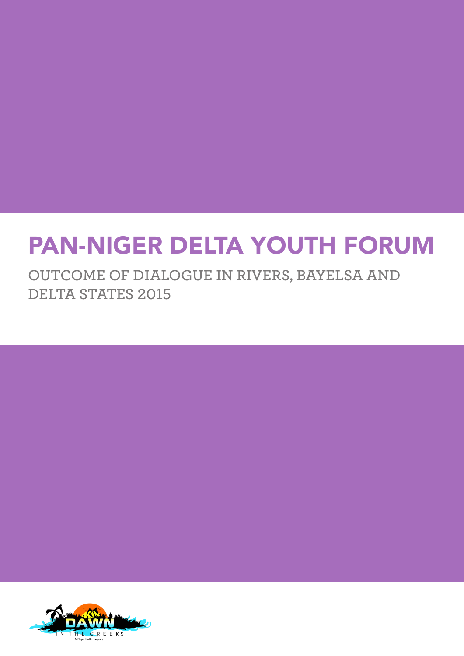# PAN-NIGER DELTA YOUTH FORUM

**OUTCOME OF DIALOGUE IN RIVERS, BAYELSA AND DELTA STATES 2015**

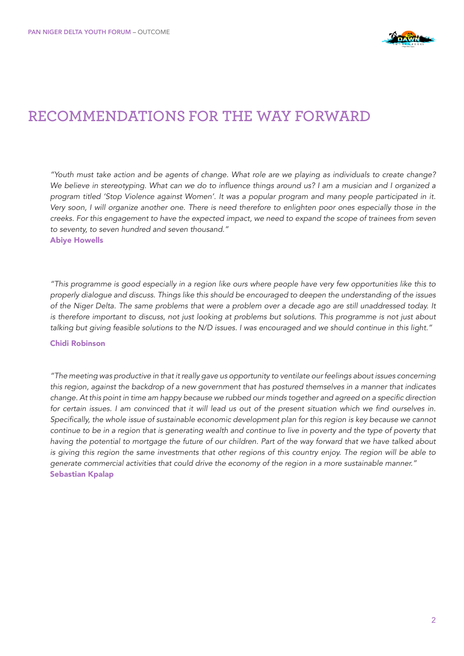

### **RECOMMENDATIONS FOR THE WAY FORWARD**

*"Youth must take action and be agents of change. What role are we playing as individuals to create change?*  We believe in stereotyping. What can we do to influence things around us? I am a musician and I organized a program titled 'Stop Violence against Women'. It was a popular program and many people participated in it. Very soon, I will organize another one. There is need therefore to enlighten poor ones especially those in the *creeks. For this engagement to have the expected impact, we need to expand the scope of trainees from seven to seventy, to seven hundred and seven thousand."* Abiye Howells

"This programme is good especially in a region like ours where people have very few opportunities like this to properly dialogue and discuss. Things like this should be encouraged to deepen the understanding of the issues of the Niger Delta. The same problems that were a problem over a decade ago are still unaddressed today. It is therefore important to discuss, not just looking at problems but solutions. This programme is not just about talking but giving feasible solutions to the N/D issues. I was encouraged and we should continue in this light."

#### Chidi Robinson

"The meeting was productive in that it really gave us opportunity to ventilate our feelings about issues concerning *this region, against the backdrop of a new government that has postured themselves in a manner that indicates*  change. At this point in time am happy because we rubbed our minds together and agreed on a specific direction for certain issues. I am convinced that it will lead us out of the present situation which we find ourselves in. Specifically, the whole issue of sustainable economic development plan for this region is key because we cannot *continue to be in a region that is generating wealth and continue to live in poverty and the type of poverty that having the potential to mortgage the future of our children. Part of the way forward that we have talked about*  is giving this region the same investments that other regions of this country enjoy. The region will be able to *generate commercial activities that could drive the economy of the region in a more sustainable manner."*  Sebastian Kpalap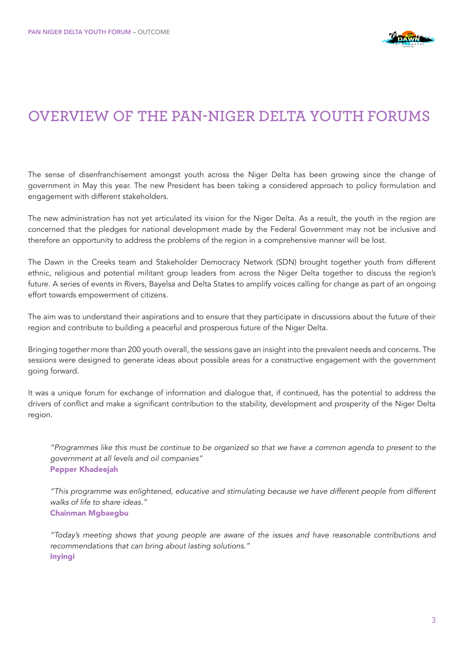

### **OVERVIEW OF THE PAN-NIGER DELTA YOUTH FORUMS**

The sense of disenfranchisement amongst youth across the Niger Delta has been growing since the change of government in May this year. The new President has been taking a considered approach to policy formulation and engagement with different stakeholders.

The new administration has not yet articulated its vision for the Niger Delta. As a result, the youth in the region are concerned that the pledges for national development made by the Federal Government may not be inclusive and therefore an opportunity to address the problems of the region in a comprehensive manner will be lost.

The Dawn in the Creeks team and Stakeholder Democracy Network (SDN) brought together youth from different ethnic, religious and potential militant group leaders from across the Niger Delta together to discuss the region's future. A series of events in Rivers, Bayelsa and Delta States to amplify voices calling for change as part of an ongoing effort towards empowerment of citizens.

The aim was to understand their aspirations and to ensure that they participate in discussions about the future of their region and contribute to building a peaceful and prosperous future of the Niger Delta.

Bringing together more than 200 youth overall, the sessions gave an insight into the prevalent needs and concerns. The sessions were designed to generate ideas about possible areas for a constructive engagement with the government going forward.

It was a unique forum for exchange of information and dialogue that, if continued, has the potential to address the drivers of conflict and make a significant contribution to the stability, development and prosperity of the Niger Delta region.

"Programmes like this must be continue to be organized so that we have a common agenda to present to the *government at all levels and oil companies"* Pepper Khadeejah

"This programme was enlightened, educative and stimulating because we have different people from different *walks of life to share ideas."* Chainman Mgbaegbu

"Today's meeting shows that young people are aware of the issues and have reasonable contributions and *recommendations that can bring about lasting solutions."*  Inyingi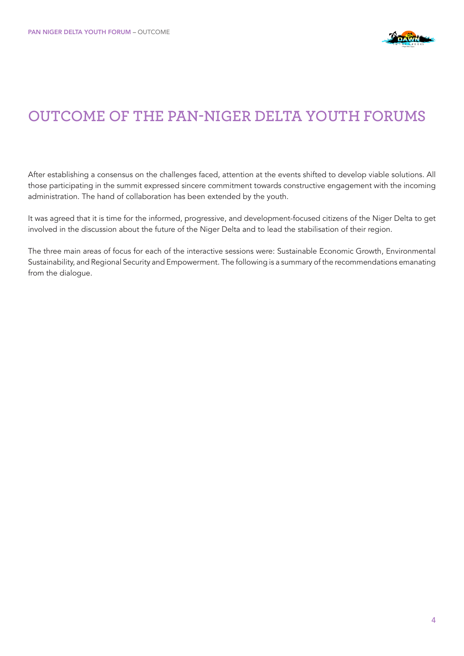

## **OUTCOME OF THE PAN-NIGER DELTA YOUTH FORUMS**

After establishing a consensus on the challenges faced, attention at the events shifted to develop viable solutions. All those participating in the summit expressed sincere commitment towards constructive engagement with the incoming administration. The hand of collaboration has been extended by the youth.

It was agreed that it is time for the informed, progressive, and development-focused citizens of the Niger Delta to get involved in the discussion about the future of the Niger Delta and to lead the stabilisation of their region.

The three main areas of focus for each of the interactive sessions were: Sustainable Economic Growth, Environmental Sustainability, and Regional Security and Empowerment. The following is a summary of the recommendations emanating from the dialogue.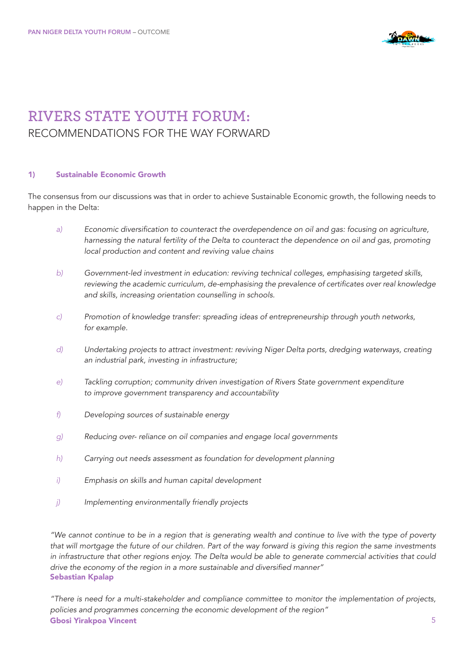

## **RIVERS STATE YOUTH FORUM:**  RECOMMENDATIONS FOR THE WAY FORWARD

#### 1) Sustainable Economic Growth

The consensus from our discussions was that in order to achieve Sustainable Economic growth, the following needs to happen in the Delta:

- *a)* Economic diversification to counteract the overdependence on oil and gas: focusing on agriculture, *harnessing the natural fertility of the Delta to counteract the dependence on oil and gas, promoting local production and content and reviving value chains*
- *b)* Government-led investment in education: reviving technical colleges, emphasising targeted skills, reviewing the academic curriculum, de-emphasising the prevalence of certificates over real knowledge  *and skills, increasing orientation counselling in schools.*
- *c)* Promotion of knowledge transfer: spreading ideas of entrepreneurship through youth networks,  *for example.*
- *d)* Undertaking projects to attract investment: reviving Niger Delta ports, dredging waterways, creating  *an industrial park, investing in infrastructure;*
- *e)* Tackling corruption; community driven investigation of Rivers State government expenditure  *to improve government transparency and accountability*
- *f) Developing sources of sustainable energy*
- *g)* Reducing over- reliance on oil companies and engage local governments
- *h) Carrying out needs assessment as foundation for development planning*
- *i) Emphasis on skills and human capital development*
- *j)* Implementing environmentally friendly projects

*"We cannot continue to be in a region that is generating wealth and continue to live with the type of poverty that will mortgage the future of our children. Part of the way forward is giving this region the same investments*  in infrastructure that other regions enjoy. The Delta would be able to generate commercial activities that could drive the economy of the region in a more sustainable and diversified manner" Sebastian Kpalap

5 "There is need for a multi-stakeholder and compliance committee to monitor the implementation of projects, *policies and programmes concerning the economic development of the region"*  Gbosi Yirakpoa Vincent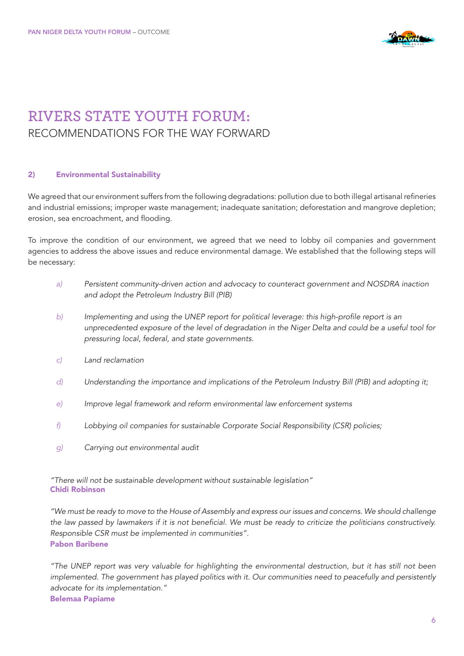

## **RIVERS STATE YOUTH FORUM:**  RECOMMENDATIONS FOR THE WAY FORWARD

#### 2) Environmental Sustainability

We agreed that our environment suffers from the following degradations: pollution due to both illegal artisanal refineries and industrial emissions; improper waste management; inadequate sanitation; deforestation and mangrove depletion; erosion, sea encroachment, and flooding.

To improve the condition of our environment, we agreed that we need to lobby oil companies and government agencies to address the above issues and reduce environmental damage. We established that the following steps will be necessary:

- *a)* Persistent community-driven action and advocacy to counteract government and NOSDRA inaction and adopt the Petroleum Industry Bill (PIB)
- *b)* Implementing and using the UNEP report for political leverage: this high-profile report is an  *unprecedented exposure of the level of degradation in the Niger Delta and could be a useful tool for pressuring local, federal, and state governments.*
- *c) Land reclamation*
- *d)* Understanding the importance and implications of the Petroleum Industry Bill (PIB) and adopting it;
- *e)* Improve legal framework and reform environmental law enforcement systems
- *f)* Lobbying oil companies for sustainable Corporate Social Responsibility (CSR) policies;
- *g) Carrying out environmental audit*

"There will not be sustainable development without sustainable legislation" Chidi Robinson

*"We must be ready to move to the House of Assembly and express our issues and concerns. We should challenge*  the law passed by lawmakers if it is not beneficial. We must be ready to criticize the politicians constructively. Responsible CSR must be implemented in communities". Pabon Baribene

"The UNEP report was very valuable for highlighting the environmental destruction, but it has still not been implemented. The government has played politics with it. Our communities need to peacefully and persistently *advocate for its implementation."* Belemaa Papiame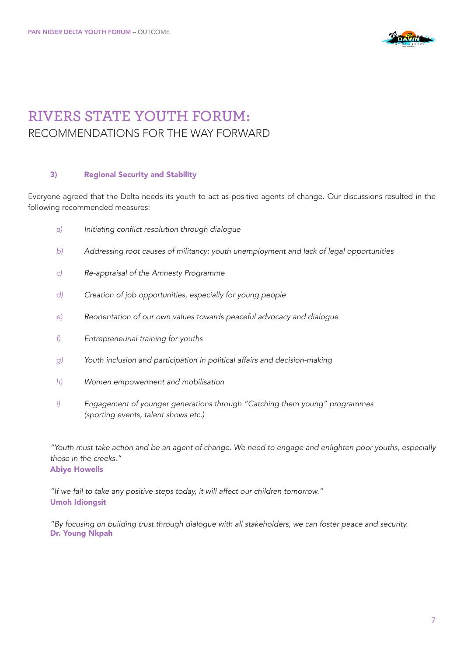

### **RIVERS STATE YOUTH FORUM:**  RECOMMENDATIONS FOR THE WAY FORWARD

#### 3) Regional Security and Stability

Everyone agreed that the Delta needs its youth to act as positive agents of change. Our discussions resulted in the following recommended measures:

- *a)* Initiating conflict resolution through dialogue
- *b)* Addressing root causes of militancy: youth unemployment and lack of legal opportunities
- *c)* Re-appraisal of the Amnesty Programme
- *d) Creation of job opportunities, especially for young people*
- *e)* Reorientation of our own values towards peaceful advocacy and dialogue
- *f) Entrepreneurial training for youths*
- *g) Youth inclusion and participation in political affairs and decision-making*
- *h) Women empowerment and mobilisation*
- *i*) *Engagement of younger generations through "Catching them young" programmes* (sporting events, talent shows etc.)

*"Youth must take action and be an agent of change. We need to engage and enlighten poor youths, especially those in the creeks."* Abiye Howells

"If we fail to take any positive steps today, it will affect our children tomorrow." Umoh Idiongsit

"By focusing on building trust through dialogue with all stakeholders, we can foster peace and security. Dr. Young Nkpah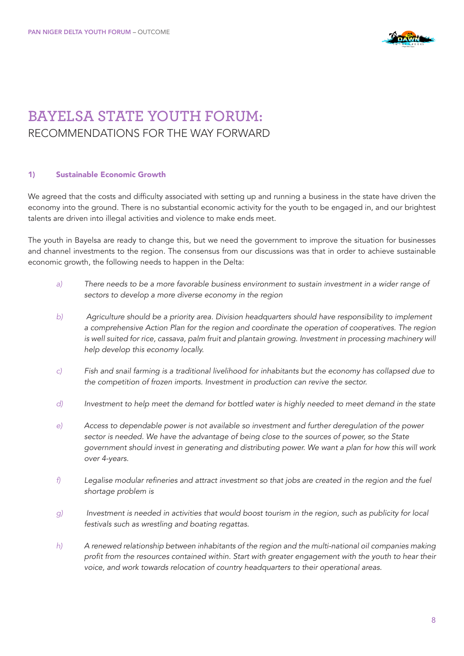

## **BAYELSA STATE YOUTH FORUM:**  RECOMMENDATIONS FOR THE WAY FORWARD

#### 1) Sustainable Economic Growth

We agreed that the costs and difficulty associated with setting up and running a business in the state have driven the economy into the ground. There is no substantial economic activity for the youth to be engaged in, and our brightest talents are driven into illegal activities and violence to make ends meet.

The youth in Bayelsa are ready to change this, but we need the government to improve the situation for businesses and channel investments to the region. The consensus from our discussions was that in order to achieve sustainable economic growth, the following needs to happen in the Delta:

- *a)* There needs to be a more favorable business environment to sustain investment in a wider range of  *sectors to develop a more diverse economy in the region*
- *b) Agriculture should be a priority area. Division headquarters should have responsibility to implement*  a comprehensive Action Plan for the region and coordinate the operation of cooperatives. The region is well suited for rice, cassava, palm fruit and plantain growing. Investment in processing machinery will  *help develop this economy locally.*
- *c) Fish and snail farming is a traditional livelihood for inhabitants but the economy has collapsed due to*  the competition of frozen imports. Investment in production can revive the sector.
- *d)* Investment to help meet the demand for bottled water is highly needed to meet demand in the state
- *e) Access to dependable power is not available so investment and further deregulation of the power sector is needed. We have the advantage of being close to the sources of power, so the State government should invest in generating and distributing power. We want a plan for how this will work over 4-years.*
- *f)* Legalise modular refineries and attract investment so that jobs are created in the region and the fuel  *shortage problem is*
- *g)* Investment is needed in activities that would boost tourism in the region, such as publicity for local  *festivals such as wrestling and boating regattas.*
- *h) A renewed relationship between inhabitants of the region and the multi-national oil companies making*  profit from the resources contained within. Start with greater engagement with the youth to hear their  *voice, and work towards relocation of country headquarters to their operational areas.*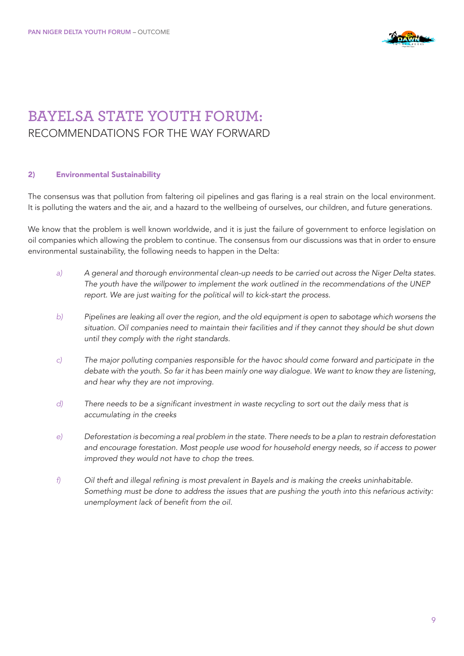

## **BAYELSA STATE YOUTH FORUM:**  RECOMMENDATIONS FOR THE WAY FORWARD

#### 2) Environmental Sustainability

The consensus was that pollution from faltering oil pipelines and gas flaring is a real strain on the local environment. It is polluting the waters and the air, and a hazard to the wellbeing of ourselves, our children, and future generations.

We know that the problem is well known worldwide, and it is just the failure of government to enforce legislation on oil companies which allowing the problem to continue. The consensus from our discussions was that in order to ensure environmental sustainability, the following needs to happen in the Delta:

- *a) A general and thorough environmental clean-up needs to be carried out across the Niger Delta states.*  The youth have the willpower to implement the work outlined in the recommendations of the UNEP  *report. We are just waiting for the political will to kick-start the process.*
- *b) Pipelines are leaking all over the region, and the old equipment is open to sabotage which worsens the situation. Oil companies need to maintain their facilities and if they cannot they should be shut down until they comply with the right standards.*
- *c)* The major polluting companies responsible for the havoc should come forward and participate in the  *debate with the youth. So far it has been mainly one way dialogue. We want to know they are listening, and hear why they are not improving.*
- *d)* There needs to be a significant investment in waste recycling to sort out the daily mess that is  *accumulating in the creeks*
- *e)* Deforestation is becoming a real problem in the state. There needs to be a plan to restrain deforestation  *and encourage forestation. Most people use wood for household energy needs, so if access to power improved they would not have to chop the trees.*
- *f)* Oil theft and illegal refining is most prevalent in Bayels and is making the creeks uninhabitable. Something must be done to address the issues that are pushing the youth into this nefarious activity: unemployment lack of benefit from the oil.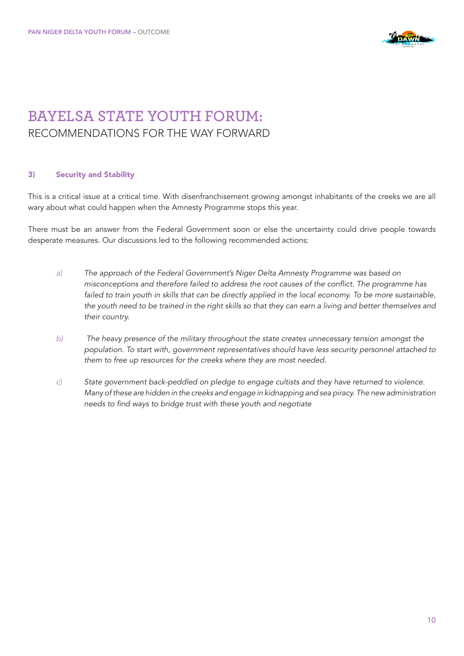

## **BAYELSA STATE YOUTH FORUM:**  RECOMMENDATIONS FOR THE WAY FORWARD

#### 3) Security and Stability

This is a critical issue at a critical time. With disenfranchisement growing amongst inhabitants of the creeks we are all wary about what could happen when the Amnesty Programme stops this year.

There must be an answer from the Federal Government soon or else the uncertainty could drive people towards desperate measures. Our discussions led to the following recommended actions:

- *a)* The approach of the Federal Government's Niger Delta Amnesty Programme was based on misconceptions and therefore failed to address the root causes of the conflict. The programme has failed to train youth in skills that can be directly applied in the local economy. To be more sustainable,  *the youth need to be trained in the right skills so that they can earn a living and better themselves and their country.*
- *b)* The heavy presence of the military throughout the state creates unnecessary tension amongst the population. To start with, government representatives should have less security personnel attached to  *them to free up resources for the creeks where they are most needed.*
- *c) State government back-peddled on pledge to engage cultists and they have returned to violence.*  Many of these are hidden in the creeks and engage in kidnapping and sea piracy. The new administration needs to find ways to bridge trust with these youth and negotiate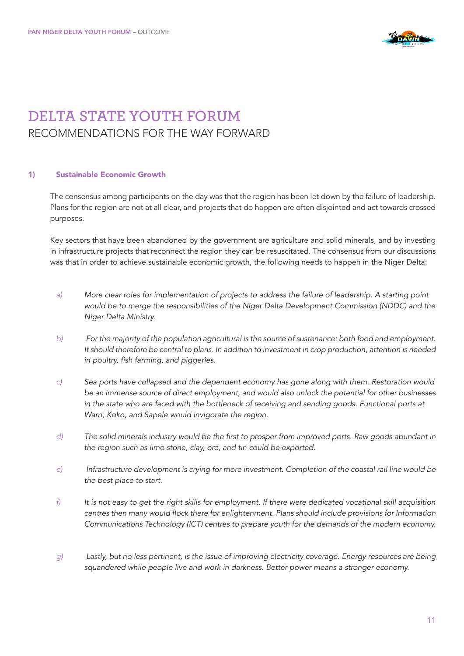

## **DELTA STATE YOUTH FORUM**  RECOMMENDATIONS FOR THE WAY FORWARD

#### 1) Sustainable Economic Growth

The consensus among participants on the day was that the region has been let down by the failure of leadership. Plans for the region are not at all clear, and projects that do happen are often disjointed and act towards crossed purposes.

Key sectors that have been abandoned by the government are agriculture and solid minerals, and by investing in infrastructure projects that reconnect the region they can be resuscitated. The consensus from our discussions was that in order to achieve sustainable economic growth, the following needs to happen in the Niger Delta:

- *a) More clear roles for implementation of projects to address the failure of leadership. A starting point*  would be to merge the responsibilities of the Niger Delta Development Commission (NDDC) and the  *Niger Delta Ministry.*
- *b)* For the majority of the population agricultural is the source of sustenance: both food and employment. It should therefore be central to plans. In addition to investment in crop production, attention is needed in poultry, fish farming, and piggeries.
- *c)* Sea ports have collapsed and the dependent economy has gone along with them. Restoration would  *be an immense source of direct employment, and would also unlock the potential for other businesses*  in the state who are faced with the bottleneck of receiving and sending goods. Functional ports at  *Warri, Koko, and Sapele would invigorate the region.*
- *d)* The solid minerals industry would be the first to prosper from improved ports. Raw goods abundant in  *the region such as lime stone, clay, ore, and tin could be exported.*
- *e)* Infrastructure development is crying for more investment. Completion of the coastal rail line would be  *the best place to start.*
- *f)* It is not easy to get the right skills for employment. If there were dedicated vocational skill acquisition centres then many would flock there for enlightenment. Plans should include provisions for Information Communications Technology (ICT) centres to prepare youth for the demands of the modern economy.
- *g) Lastly, but no less pertinent, is the issue of improving electricity coverage. Energy resources are being*  squandered while people live and work in darkness. Better power means a stronger economy.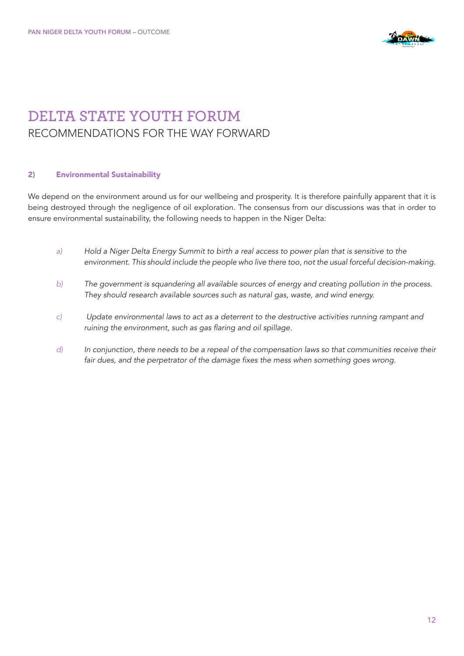

## **DELTA STATE YOUTH FORUM**  RECOMMENDATIONS FOR THE WAY FORWARD

#### 2) Environmental Sustainability

We depend on the environment around us for our wellbeing and prosperity. It is therefore painfully apparent that it is being destroyed through the negligence of oil exploration. The consensus from our discussions was that in order to ensure environmental sustainability, the following needs to happen in the Niger Delta:

- *a) Hold a Niger Delta Energy Summit to birth a real access to power plan that is sensitive to the*  environment. This should include the people who live there too, not the usual forceful decision-making.
- *b)* The government is squandering all available sources of energy and creating pollution in the process. They should research available sources such as natural gas, waste, and wind energy.
- *c) Update environmental laws to act as a deterrent to the destructive activities running rampant and*  ruining the environment, such as gas flaring and oil spillage.
- *d)* In conjunction, there needs to be a repeal of the compensation laws so that communities receive their fair dues, and the perpetrator of the damage fixes the mess when something goes wrong.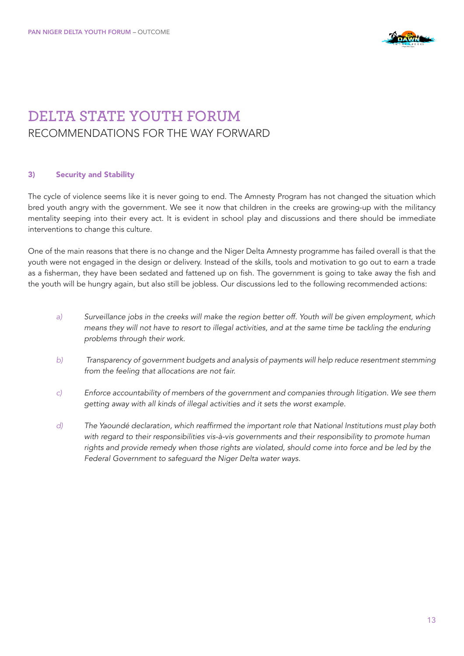

### **DELTA STATE YOUTH FORUM**  RECOMMENDATIONS FOR THE WAY FORWARD

#### 3) Security and Stability

The cycle of violence seems like it is never going to end. The Amnesty Program has not changed the situation which bred youth angry with the government. We see it now that children in the creeks are growing-up with the militancy mentality seeping into their every act. It is evident in school play and discussions and there should be immediate interventions to change this culture.

One of the main reasons that there is no change and the Niger Delta Amnesty programme has failed overall is that the youth were not engaged in the design or delivery. Instead of the skills, tools and motivation to go out to earn a trade as a fisherman, they have been sedated and fattened up on fish. The government is going to take away the fish and the youth will be hungry again, but also still be jobless. Our discussions led to the following recommended actions:

- *a) Surveillance jobs in the creeks will make the region better off. Youth will be given employment, which means they will not have to resort to illegal activities, and at the same time be tackling the enduring problems through their work.*
- *b)* Transparency of government budgets and analysis of payments will help reduce resentment stemming  *from the feeling that allocations are not fair.*
- *c) Enforce accountability of members of the government and companies through litigation. We see them getting away with all kinds of illegal activities and it sets the worst example.*
- *d)* The Yaoundé declaration, which reaffirmed the important role that National Institutions must play both  *with regard to their responsibilities vis-à-vis governments and their responsibility to promote human*  rights and provide remedy when those rights are violated, should come into force and be led by the  *Federal Government to safeguard the Niger Delta water ways.*